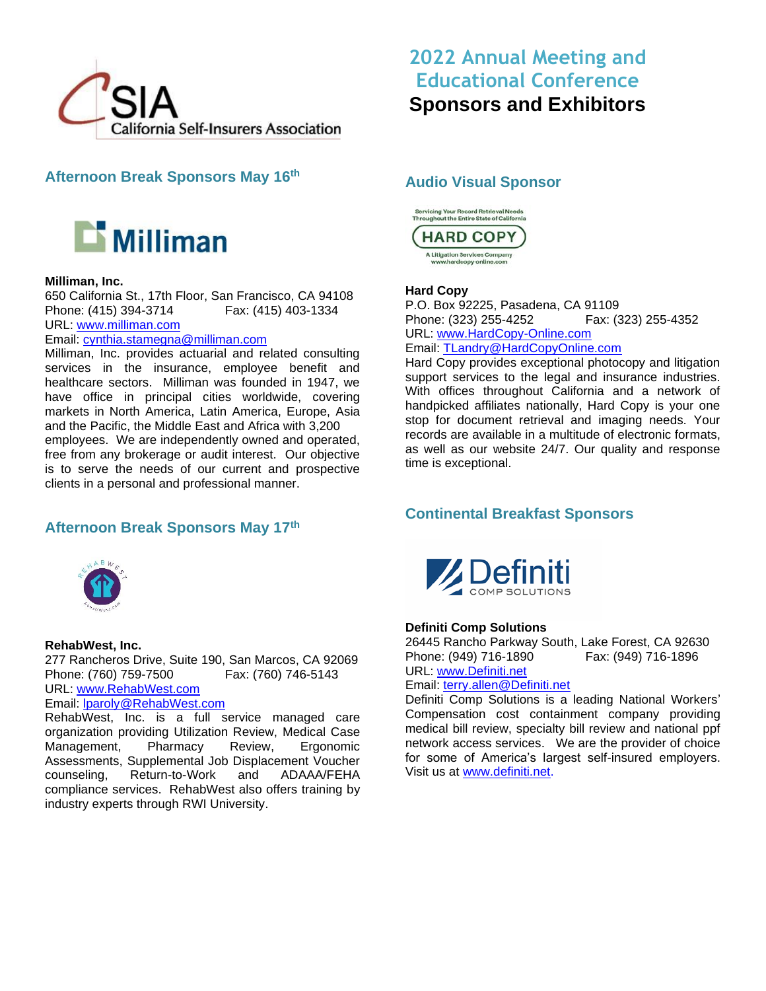

**Afternoon Break Sponsors May 16th**



# **Milliman, Inc.**

650 California St., 17th Floor, San Francisco, CA 94108 Phone: (415) 394-3714 Fax: (415) 403-1334 URL: [www.milliman.com](http://www.milliman.com/)

Email: [cynthia.stamegna@milliman.com](mailto:cynthia.stamegna@milliman.com)

Milliman, Inc. provides actuarial and related consulting services in the insurance, employee benefit and healthcare sectors. Milliman was founded in 1947, we have office in principal cities worldwide, covering markets in North America, Latin America, Europe, Asia and the Pacific, the Middle East and Africa with 3,200 employees. We are independently owned and operated, free from any brokerage or audit interest. Our objective is to serve the needs of our current and prospective clients in a personal and professional manner.

# **Afternoon Break Sponsors May 17th**



#### **RehabWest, Inc.**

277 Rancheros Drive, Suite 190, San Marcos, CA 92069 Phone: (760) 759-7500 Fax: (760) 746-5143 URL: [www.RehabWest.com](http://www.rehabwest.com/) 

# Email: [lparoly@RehabWest.com](mailto:lparoly@RehabWest.com)

RehabWest, Inc. is a full service managed care organization providing Utilization Review, Medical Case Management, Pharmacy Review, Ergonomic Assessments, Supplemental Job Displacement Voucher counseling, Return-to-Work and ADAAA/FEHA compliance services. RehabWest also offers training by industry experts through RWI University.

# **2022 Annual Meeting and Educational Conference Sponsors and Exhibitors**

# **Audio Visual Sponsor**



### **Hard Copy**

P.O. Box 92225, Pasadena, CA 91109 Phone: (323) 255-4252 Fax: (323) 255-4352 URL: [www.HardCopy-Online.com](http://www.hardcopy-online.com/)  Email: [TLandry@HardCopyOnline.com](mailto:TLandry@HardCopyOnline.com)

Hard Copy provides exceptional photocopy and litigation support services to the legal and insurance industries. With offices throughout California and a network of handpicked affiliates nationally, Hard Copy is your one stop for document retrieval and imaging needs. Your records are available in a multitude of electronic formats, as well as our website 24/7. Our quality and response time is exceptional.

# **Continental Breakfast Sponsors**



### **Definiti Comp Solutions**

26445 Rancho Parkway South, Lake Forest, CA 92630 Phone: (949) 716-1890 Fax: (949) 716-1896 URL: [www.Definiti.net](http://www.definiti.net/)

#### Email: [terry.allen@Definiti.net](mailto:terry.allen@Definiti.net)

Definiti Comp Solutions is a leading National Workers' Compensation cost containment company providing medical bill review, specialty bill review and national ppf network access services. We are the provider of choice for some of America's largest self-insured employers. Visit us at [www.definiti.net.](http://www.definiti.net/)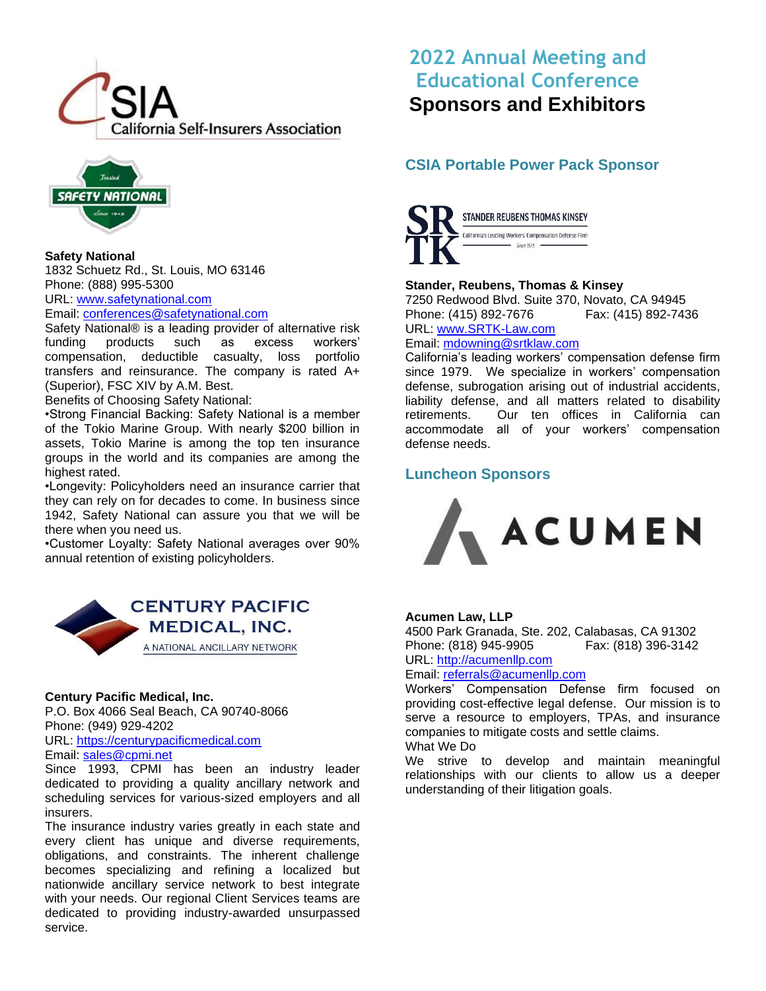



**Safety National** 1832 Schuetz Rd., St. Louis, MO 63146 Phone: (888) 995-5300 URL: [www.safetynational.com](http://www.safetynational.com/)

Email: [conferences@safetynational.com](mailto:conferences@safetynational.com)

Safety National® is a leading provider of alternative risk funding products such as excess workers' compensation, deductible casualty, loss portfolio transfers and reinsurance. The company is rated A+ (Superior), FSC XIV by A.M. Best.

Benefits of Choosing Safety National:

•Strong Financial Backing: Safety National is a member of the Tokio Marine Group. With nearly \$200 billion in assets, Tokio Marine is among the top ten insurance groups in the world and its companies are among the highest rated.

•Longevity: Policyholders need an insurance carrier that they can rely on for decades to come. In business since 1942, Safety National can assure you that we will be there when you need us.

•Customer Loyalty: Safety National averages over 90% annual retention of existing policyholders.



### **Century Pacific Medical, Inc.**

P.O. Box 4066 Seal Beach, CA 90740-8066 Phone: (949) 929-4202

URL: [https://centurypacificmedical.com](https://centurypacificmedical.com/) Email: [sales@cpmi.net](mailto:sales@cpmi.net)

Since 1993, CPMI has been an industry leader dedicated to providing a quality ancillary network and scheduling services for various-sized employers and all insurers.

The insurance industry varies greatly in each state and every client has unique and diverse requirements, obligations, and constraints. The inherent challenge becomes specializing and refining a localized but nationwide ancillary service network to best integrate with your needs. Our regional Client Services teams are dedicated to providing industry-awarded unsurpassed service.

# **2022 Annual Meeting and Educational Conference Sponsors and Exhibitors**

# **CSIA Portable Power Pack Sponsor**



# **Stander, Reubens, Thomas & Kinsey**

7250 Redwood Blvd. Suite 370, Novato, CA 94945 Phone: (415) 892-7676 Fax: (415) 892-7436 URL: [www.SRTK-Law.com](http://www.srtk-law.com/) 

Email: [mdowning@srtklaw.com](mailto:mdowning@srtklaw.com)

California's leading workers' compensation defense firm since 1979. We specialize in workers' compensation defense, subrogation arising out of industrial accidents, liability defense, and all matters related to disability retirements. Our ten offices in California can accommodate all of your workers' compensation defense needs.

# **Luncheon Sponsors**



### **Acumen Law, LLP**

4500 Park Granada, Ste. 202, Calabasas, CA 91302 Phone: (818) 945-9905 Fax: (818) 396-3142 URL: [http://acumenllp.com](http://acumenllp.com/)

Email: [referrals@acumenllp.com](mailto:referrals@acumenllp.com)

Workers' Compensation Defense firm focused on providing cost-effective legal defense. Our mission is to serve a resource to employers, TPAs, and insurance companies to mitigate costs and settle claims. What We Do

We strive to develop and maintain meaningful relationships with our clients to allow us a deeper understanding of their litigation goals.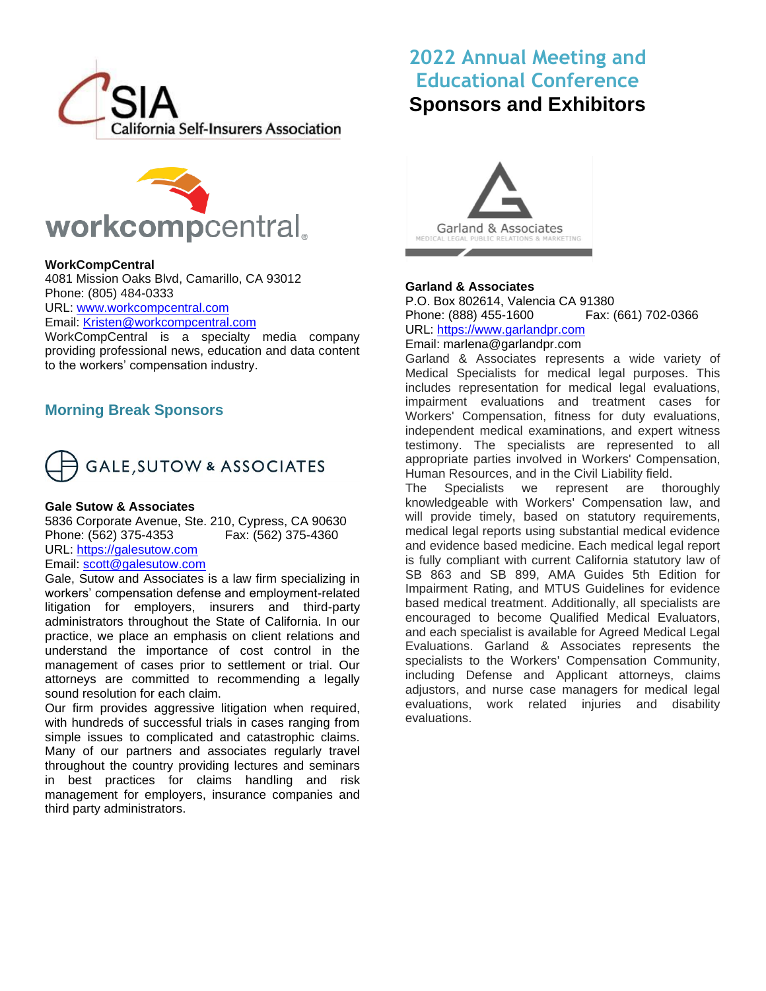



### **WorkCompCentral**

4081 Mission Oaks Blvd, Camarillo, CA 93012 Phone: (805) 484-0333 URL: [www.workcompcentral.com](http://www.workcompcentral.com/)

Email: [Kristen@workcompcentral.com](mailto:Kristen@workcompcentral.com)

WorkCompCentral is a specialty media company providing professional news, education and data content to the workers' compensation industry.

# **Morning Break Sponsors**



#### **Gale Sutow & Associates**

5836 Corporate Avenue, Ste. 210, Cypress, CA 90630 Phone: (562) 375-4353 Fax: (562) 375-4360 URL: [https://galesutow.com](https://galesutow.com/)

# Email: [scott@galesutow.com](mailto:scott@galesutow.com)

Gale, Sutow and Associates is a law firm specializing in workers' compensation defense and employment-related litigation for employers, insurers and third-party administrators throughout the State of California. In our practice, we place an emphasis on client relations and understand the importance of cost control in the management of cases prior to settlement or trial. Our attorneys are committed to recommending a legally sound resolution for each claim.

Our firm provides aggressive litigation when required, with hundreds of successful trials in cases ranging from simple issues to complicated and catastrophic claims. Many of our partners and associates regularly travel throughout the country providing lectures and seminars in best practices for claims handling and risk management for employers, insurance companies and third party administrators.



#### **Garland & Associates**

P.O. Box 802614, Valencia CA 91380 Phone: (888) 455-1600 Fax: (661) 702-0366 URL: [https://www.garlandpr.com](https://www.garlandpr.com/) Email: marlena@garlandpr.com

Garland & Associates represents a wide variety of Medical Specialists for medical legal purposes. This includes representation for medical legal evaluations, impairment evaluations and treatment cases for Workers' Compensation, fitness for duty evaluations, independent medical examinations, and expert witness testimony. The specialists are represented to all appropriate parties involved in Workers' Compensation, Human Resources, and in the Civil Liability field.

The Specialists we represent are thoroughly knowledgeable with Workers' Compensation law, and will provide timely, based on statutory requirements, medical legal reports using substantial medical evidence and evidence based medicine. Each medical legal report is fully compliant with current California statutory law of SB 863 and SB 899, AMA Guides 5th Edition for Impairment Rating, and MTUS Guidelines for evidence based medical treatment. Additionally, all specialists are encouraged to become Qualified Medical Evaluators, and each specialist is available for Agreed Medical Legal Evaluations. Garland & Associates represents the specialists to the Workers' Compensation Community, including Defense and Applicant attorneys, claims adjustors, and nurse case managers for medical legal evaluations, work related injuries and disability evaluations.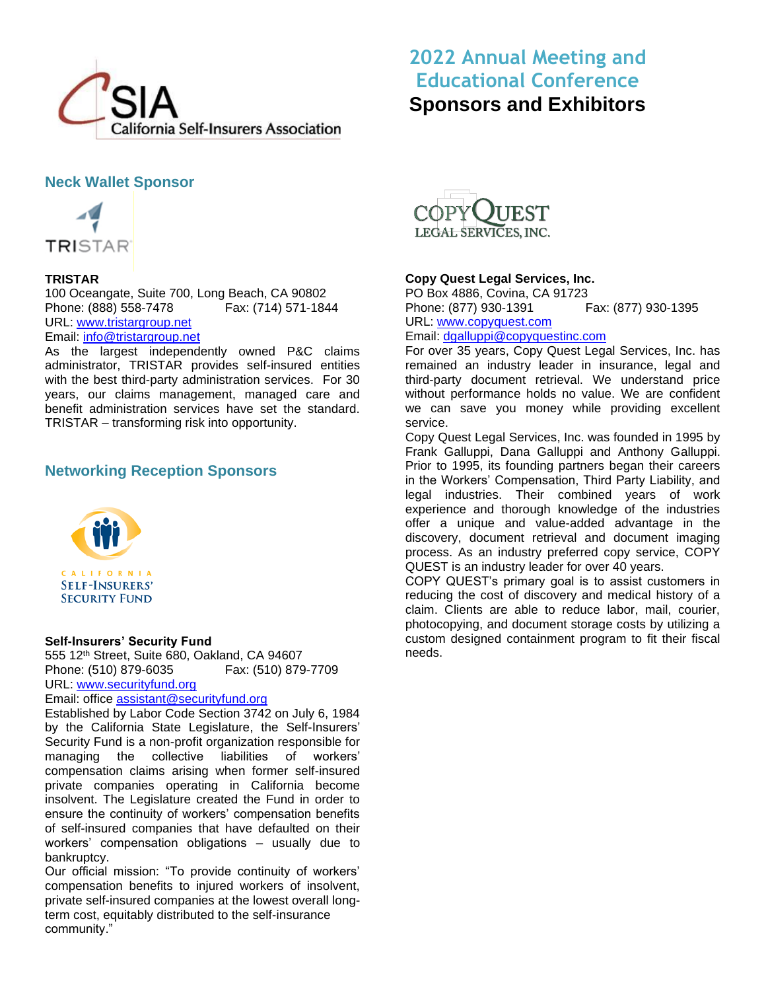

# **Neck Wallet Sponsor**



# **TRISTAR**

100 Oceangate, Suite 700, Long Beach, CA 90802 Phone: (888) 558-7478 Fax: (714) 571-1844 URL: [www.tristargroup.net](http://www.tristargroup.net/) Email: [info@tristargroup.net](mailto:info@tristargroup.net)

As the largest independently owned P&C claims administrator, TRISTAR provides self-insured entities with the best third-party administration services. For 30 years, our claims management, managed care and benefit administration services have set the standard. TRISTAR – transforming risk into opportunity.

# **Networking Reception Sponsors**



### **Self-Insurers' Security Fund**

555 12th Street, Suite 680, Oakland, CA 94607 Phone: (510) 879-6035 Fax: (510) 879-7709 URL: [www.securityfund.org](http://www.securityfund.org/)

Email: office [assistant@securityfund.org](mailto:assistant@securityfund.org)

Established by Labor Code Section 3742 on July 6, 1984 by the California State Legislature, the Self-Insurers' Security Fund is a non-profit organization responsible for managing the collective liabilities of workers' compensation claims arising when former self-insured private companies operating in California become insolvent. The Legislature created the Fund in order to ensure the continuity of workers' compensation benefits of self-insured companies that have defaulted on their workers' compensation obligations – usually due to bankruptcy.

Our official mission: "To provide continuity of workers' compensation benefits to injured workers of insolvent, private self-insured companies at the lowest overall longterm cost, equitably distributed to the self-insurance community."



# **Copy Quest Legal Services, Inc.**

PO Box 4886, Covina, CA 91723 Phone: (877) 930-1391 Fax: (877) 930-1395 URL: [www.copyquest.com](http://www.copyquest.com/) Email: [dgalluppi@copyquestinc.com](mailto:dgalluppi@copyquestinc.com)

For over 35 years, Copy Quest Legal Services, Inc. has remained an industry leader in insurance, legal and third-party document retrieval. We understand price without performance holds no value. We are confident we can save you money while providing excellent service.

Copy Quest Legal Services, Inc. was founded in 1995 by Frank Galluppi, Dana Galluppi and Anthony Galluppi. Prior to 1995, its founding partners began their careers in the Workers' Compensation, Third Party Liability, and legal industries. Their combined years of work experience and thorough knowledge of the industries offer a unique and value-added advantage in the discovery, document retrieval and document imaging process. As an industry preferred copy service, COPY QUEST is an industry leader for over 40 years.

COPY QUEST's primary goal is to assist customers in reducing the cost of discovery and medical history of a claim. Clients are able to reduce labor, mail, courier, photocopying, and document storage costs by utilizing a custom designed containment program to fit their fiscal needs.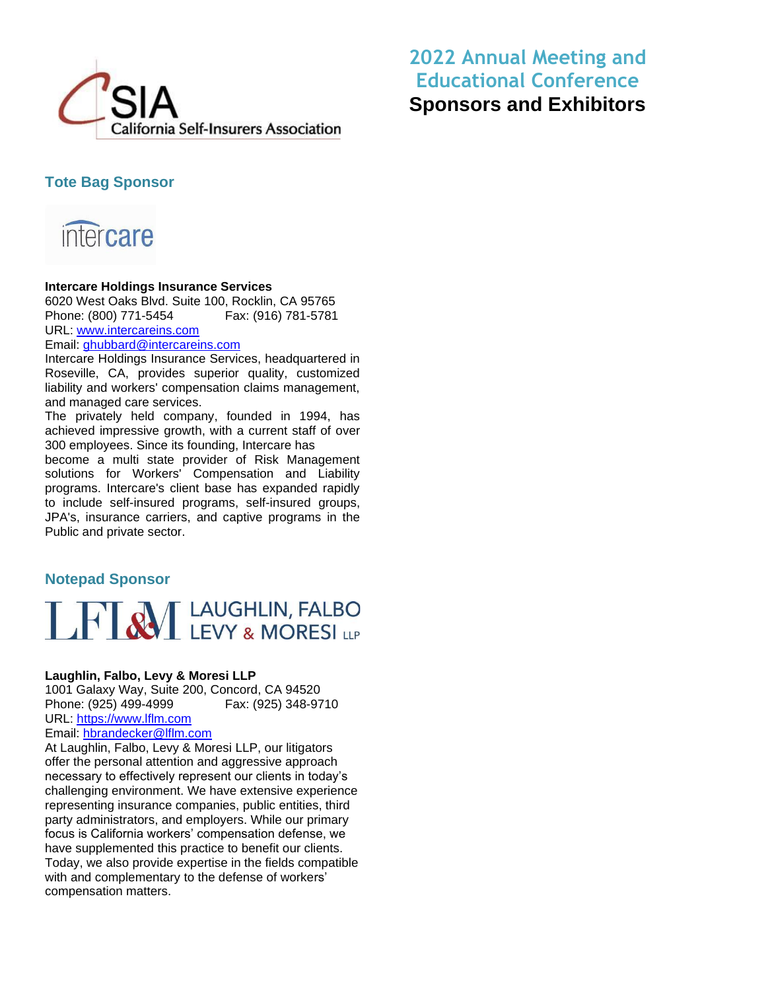

# **Tote Bag Sponsor**



# **Intercare Holdings Insurance Services**

6020 West Oaks Blvd. Suite 100, Rocklin, CA 95765 Phone: (800) 771-5454 Fax: (916) 781-5781 URL: www.intercareins.com

Email: [ghubbard@intercareins.com](mailto:ghubbard@intercareins.com)

Intercare Holdings Insurance Services, headquartered in Roseville, CA, provides superior quality, customized liability and workers' compensation claims management, and managed care services.

The privately held company, founded in 1994, has achieved impressive growth, with a current staff of over 300 employees. Since its founding, Intercare has

become a multi state provider of Risk Management solutions for Workers' Compensation and Liability programs. Intercare's client base has expanded rapidly to include self-insured programs, self-insured groups, JPA's, insurance carriers, and captive programs in the Public and private sector.

# **Notepad Sponsor**



### **Laughlin, Falbo, Levy & Moresi LLP**

1001 Galaxy Way, Suite 200, Concord, CA 94520 Phone: (925) 499-4999 Fax: (925) 348-9710 URL: [https://www.lflm.com](https://www.lflm.com/)

Email: [hbrandecker@lflm.com](mailto:hbrandecker@lflm.com)

At Laughlin, Falbo, Levy & Moresi LLP, our litigators offer the personal attention and aggressive approach necessary to effectively represent our clients in today's challenging environment. We have extensive experience representing insurance companies, public entities, third party administrators, and employers. While our primary focus is California workers' compensation defense, we have supplemented this practice to benefit our clients. Today, we also provide expertise in the fields compatible with and complementary to the defense of workers' compensation matters.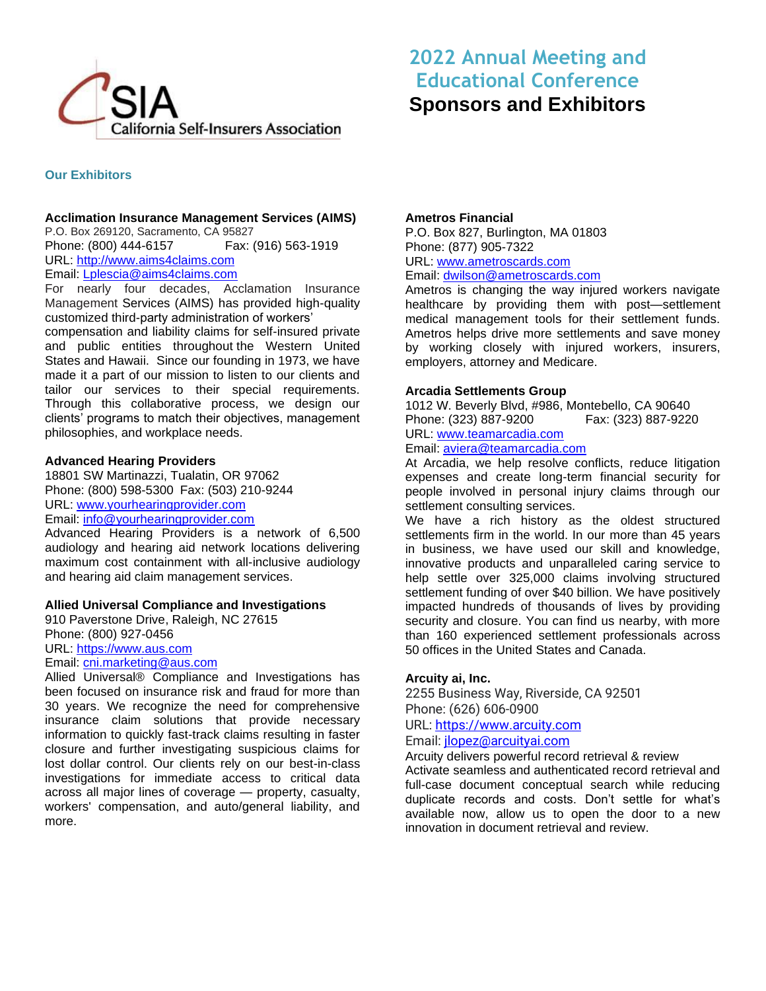

# **Our Exhibitors**

### **Acclimation Insurance Management Services (AIMS)**

P.O. Box 269120, Sacramento, CA 95827 Phone: (800) 444-6157 Fax: (916) 563-1919 URL: [http://www.aims4claims.com](http://www.aims4claims.com/) Email: [Lplescia@aims4claims.com](mailto:Lplescia@aims4claims.com)

For nearly four decades, Acclamation Insurance Management Services (AIMS) has provided high-quality customized third-party administration of workers'

compensation and liability claims for self-insured private and public entities throughout the Western United States and Hawaii. Since our founding in 1973, we have made it a part of our mission to listen to our clients and tailor our services to their special requirements. Through this collaborative process, we design our clients' programs to match their objectives, management philosophies, and workplace needs.

### **Advanced Hearing Providers**

18801 SW Martinazzi, Tualatin, OR 97062 Phone: (800) 598-5300 Fax: (503) 210-9244 URL: [www.yourhearingprovider.com](http://www.yourhearingprovider.com/) Email: [info@yourhearingprovider.com](mailto:info@yourhearingprovider.com)

Advanced Hearing Providers is a network of 6,500 audiology and hearing aid network locations delivering maximum cost containment with all-inclusive audiology and hearing aid claim management services.

### **Allied Universal Compliance and Investigations**

910 Paverstone Drive, Raleigh, NC 27615 Phone: (800) 927-0456 URL: [https://www.aus.com](https://www.aus.com/) Email: [cni.marketing@aus.com](mailto:cni.marketing@aus.com)

Allied Universal® Compliance and Investigations has been focused on insurance risk and fraud for more than 30 years. We recognize the need for comprehensive insurance claim solutions that provide necessary information to quickly fast-track claims resulting in faster closure and further investigating suspicious claims for lost dollar control. Our clients rely on our best-in-class investigations for immediate access to critical data across all major lines of coverage — property, casualty, workers' compensation, and auto/general liability, and more.

### **Ametros Financial**

P.O. Box 827, Burlington, MA 01803 Phone: (877) 905-7322 URL: [www.ametroscards.com](http://www.ametroscards.com/)  Email: [dwilson@](mailto:Kenny.L.Leonard@kp.org)ametroscards.com

Ametros is changing the way injured workers navigate healthcare by providing them with post—settlement medical management tools for their settlement funds. Ametros helps drive more settlements and save money by working closely with injured workers, insurers, employers, attorney and Medicare.

### **Arcadia Settlements Group**

1012 W. Beverly Blvd, #986, Montebello, CA 90640 Phone: (323) 887-9200 Fax: (323) 887-9220 URL: [www.teamarcadia.com](http://www.teamarcadia.com/) Email: [aviera@teamarcadia.com](mailto:aviera@teamarcadia.com)

At Arcadia, we help resolve conflicts, reduce litigation expenses and create long-term financial security for people involved in personal injury claims through our settlement consulting services.

We have a rich history as the oldest structured settlements firm in the world. In our more than 45 years in business, we have used our skill and knowledge, innovative products and unparalleled caring service to help settle over 325,000 claims involving structured settlement funding of over \$40 billion. We have positively impacted hundreds of thousands of lives by providing security and closure. You can find us nearby, with more than 160 experienced settlement professionals across 50 offices in the United States and Canada.

### **Arcuity ai, Inc.**

2255 Business Way, Riverside, CA 92501 Phone: (626) 606-0900

# URL: [https://www.arcuity.com](https://www.arcuity.com/)

Email: [jlopez@arcuityai.com](mailto:jlopez@arcuityai.com)

Arcuity delivers powerful record retrieval & review

Activate seamless and authenticated record retrieval and full-case document conceptual search while reducing duplicate records and costs. Don't settle for what's available now, allow us to open the door to a new innovation in document retrieval and review.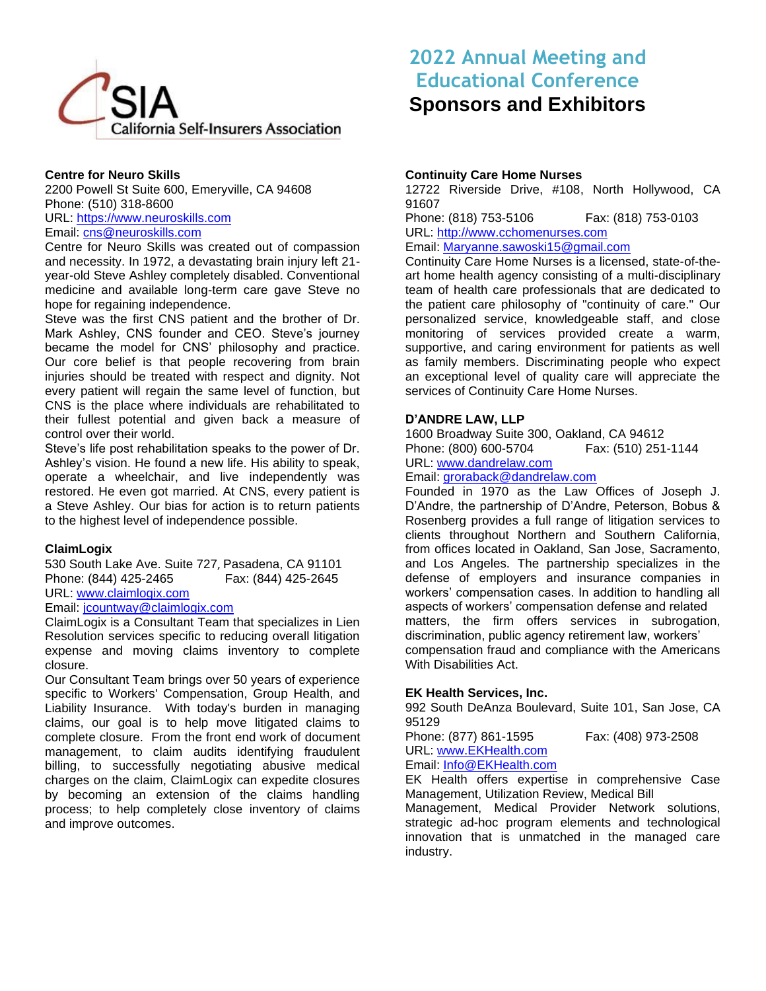

# **Centre for Neuro Skills**

2200 Powell St Suite 600, Emeryville, CA 94608 Phone: (510) 318-8600 URL: [https://www.neuroskills.com](https://www.neuroskills.com/)

Email: [cns@neuroskills.com](mailto:cns@neuroskills.com)

Centre for Neuro Skills was created out of compassion and necessity. In 1972, a devastating brain injury left 21 year-old Steve Ashley completely disabled. Conventional medicine and available long-term care gave Steve no hope for regaining independence.

Steve was the first CNS patient and the brother of Dr. Mark Ashley, CNS founder and CEO. Steve's journey became the model for CNS' philosophy and practice. Our core belief is that people recovering from brain injuries should be treated with respect and dignity. Not every patient will regain the same level of function, but CNS is the place where individuals are rehabilitated to their fullest potential and given back a measure of control over their world.

Steve's life post rehabilitation speaks to the power of Dr. Ashley's vision. He found a new life. His ability to speak, operate a wheelchair, and live independently was restored. He even got married. At CNS, every patient is a Steve Ashley. Our bias for action is to return patients to the highest level of independence possible.

### **ClaimLogix**

530 South Lake Ave. Suite 727, Pasadena, CA 91101 Phone: (844) 425-2465 Fax: (844) 425-2645 URL: [www.claimlogix.com](http://www.claimlogix.com/)

#### Email: [jcountway@claimlogix.com](mailto:jcountway@claimlogix.com)

ClaimLogix is a Consultant Team that specializes in Lien Resolution services specific to reducing overall litigation expense and moving claims inventory to complete closure.

Our Consultant Team brings over 50 years of experience specific to Workers' Compensation, Group Health, and Liability Insurance. With today's burden in managing claims, our goal is to help move litigated claims to complete closure. From the front end work of document management, to claim audits identifying fraudulent billing, to successfully negotiating abusive medical charges on the claim, ClaimLogix can expedite closures by becoming an extension of the claims handling process; to help completely close inventory of claims and improve outcomes.

# **2022 Annual Meeting and Educational Conference Sponsors and Exhibitors**

# **Continuity Care Home Nurses**

12722 Riverside Drive, #108, North Hollywood, CA 91607

Phone: (818) 753-5106 Fax: (818) 753-0103 URL: [http://www.cchomenurses.com](http://www.cchomenurses.com/)

# Email: [Maryanne.sawoski15@gmail.com](mailto:Maryanne.sawoski15@gmail.com)

Continuity Care Home Nurses is a licensed, state-of-theart home health agency consisting of a multi-disciplinary team of health care professionals that are dedicated to the patient care philosophy of "continuity of care." Our personalized service, knowledgeable staff, and close monitoring of services provided create a warm, supportive, and caring environment for patients as well as family members. Discriminating people who expect an exceptional level of quality care will appreciate the services of Continuity Care Home Nurses.

# **D'ANDRE LAW, LLP**

1600 Broadway Suite 300, Oakland, CA 94612<br>Phone: (800) 600-5704 Fax: (510) 251-1144 Phone: (800) 600-5704 URL: [www.dandrelaw.com](http://www.dandrelaw.com/)

### Email: [groraback@dandrelaw.com](mailto:groraback@dandrelaw.com)

Founded in 1970 as the Law Offices of Joseph J. D'Andre, the partnership of D'Andre, Peterson, Bobus & Rosenberg provides a full range of litigation services to clients throughout Northern and Southern California, from offices located in Oakland, San Jose, Sacramento, and Los Angeles. The partnership specializes in the defense of employers and insurance companies in workers' compensation cases. In addition to handling all aspects of workers' compensation defense and related matters, the firm offers services in subrogation, discrimination, public agency retirement law, workers' compensation fraud and compliance with the Americans With Disabilities Act.

### **EK Health Services, Inc.**

992 South DeAnza Boulevard, Suite 101, San Jose, CA 95129

Phone: (877) 861-1595 Fax: (408) 973-2508 URL: [www.EKHealth.com](http://www.ekhealth.com/)

# Email: [Info@EKHealth.com](mailto:Info@EKHealth.com)

EK Health offers expertise in comprehensive Case Management, Utilization Review, Medical Bill

Management, Medical Provider Network solutions, strategic ad-hoc program elements and technological innovation that is unmatched in the managed care industry.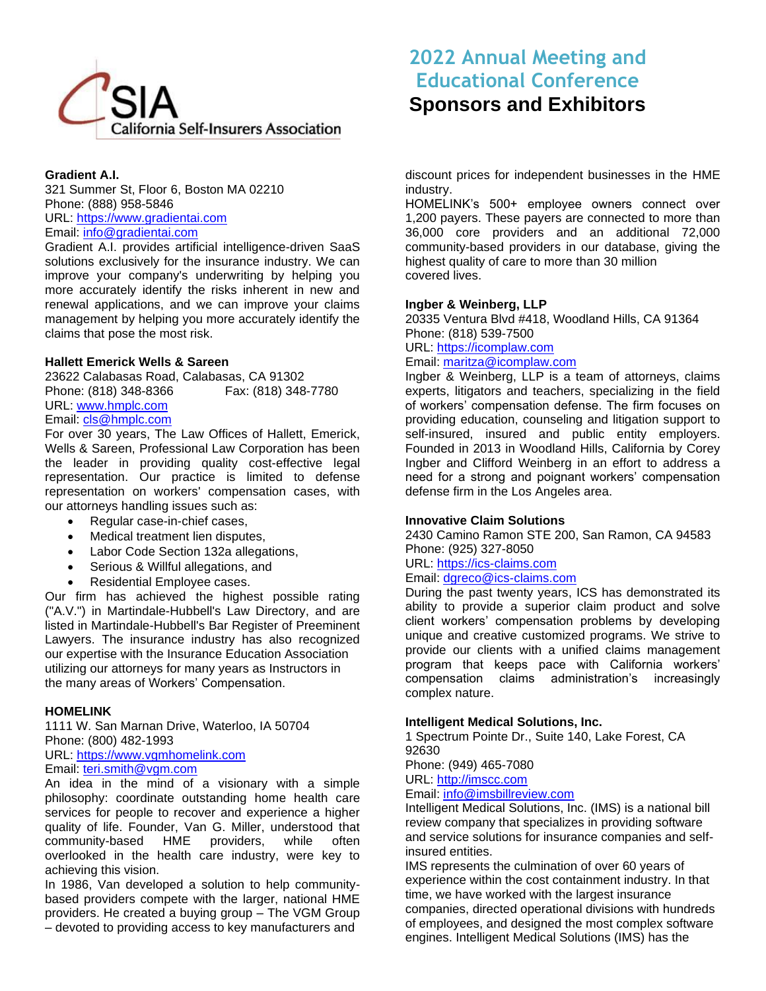

### **Gradient A.I.**

321 Summer St, Floor 6, Boston MA 02210 Phone: (888) 958-5846 URL: [https://www.gradientai.com](https://www.gradientai.com/)

Email: [info@gradientai.com](mailto:info@gradientai.com)

Gradient A.I. provides artificial intelligence-driven SaaS solutions exclusively for the insurance industry. We can improve your company's underwriting by helping you more accurately identify the risks inherent in new and renewal applications, and we can improve your claims management by helping you more accurately identify the claims that pose the most risk.

### **Hallett Emerick Wells & Sareen**

23622 Calabasas Road, Calabasas, CA 91302 Phone: (818) 348-8366 Fax: (818) 348-7780 URL: [www.hmplc.com](http://www.hmplc.com/)

# Email: [cls@hmplc.com](mailto:cls@hmplc.com)

For over 30 years, The Law Offices of Hallett, Emerick, Wells & Sareen, Professional Law Corporation has been the leader in providing quality cost-effective legal representation. Our practice is limited to defense representation on workers' compensation cases, with our attorneys handling issues such as:

- Regular case-in-chief cases,
- Medical treatment lien disputes,
- Labor Code Section 132a allegations,
- Serious & Willful allegations, and
- Residential Employee cases.

Our firm has achieved the highest possible rating ("A.V.") in Martindale-Hubbell's Law Directory, and are listed in Martindale-Hubbell's Bar Register of Preeminent Lawyers. The insurance industry has also recognized our expertise with the Insurance Education Association utilizing our attorneys for many years as Instructors in the many areas of Workers' Compensation.

### **HOMELINK**

1111 W. San Marnan Drive, Waterloo, IA 50704 Phone: (800) 482-1993 URL: [https://www.vgmhomelink.com](https://www.vgmhomelink.com/) Email: [teri.smith@vgm.com](mailto:teri.smith@vgm.com)

An idea in the mind of a visionary with a simple

philosophy: coordinate outstanding home health care services for people to recover and experience a higher quality of life. Founder, Van G. Miller, understood that community-based HME providers, while often overlooked in the health care industry, were key to achieving this vision.

In 1986, Van developed a solution to help communitybased providers compete with the larger, national HME providers. He created a buying group – The VGM Group – devoted to providing access to key manufacturers and

# **2022 Annual Meeting and Educational Conference Sponsors and Exhibitors**

discount prices for independent businesses in the HME industry.

HOMELINK's 500+ employee owners connect over 1,200 payers. These payers are connected to more than 36,000 core providers and an additional 72,000 community-based providers in our database, giving the highest quality of care to more than 30 million covered lives.

### **Ingber & Weinberg, LLP**

20335 Ventura Blvd #418, Woodland Hills, CA 91364 Phone: (818) 539-7500

URL: [https://icomplaw.com](https://icomplaw.com/) Email: [maritza@icomplaw.com](mailto:maritza@icomplaw.com)

Ingber & Weinberg, LLP is a team of attorneys, claims experts, litigators and teachers, specializing in the field of workers' compensation defense. The firm focuses on providing education, counseling and litigation support to self-insured, insured and public entity employers. Founded in 2013 in Woodland Hills, California by Corey Ingber and Clifford Weinberg in an effort to address a need for a strong and poignant workers' compensation

### **Innovative Claim Solutions**

defense firm in the Los Angeles area.

2430 Camino Ramon STE 200, San Ramon, CA 94583 Phone: (925) 327-8050

### URL: [https://ics-claims.com](https://ics-claims.com/)

# Email: [dgreco@ics-claims.com](mailto:dgreco@ics-claims.com)

During the past twenty years, ICS has demonstrated its ability to provide a superior claim product and solve client workers' compensation problems by developing unique and creative customized programs. We strive to provide our clients with a unified claims management program that keeps pace with California workers' compensation claims administration's increasingly complex nature.

### **Intelligent Medical Solutions, Inc.**

1 Spectrum Pointe Dr., Suite 140, Lake Forest, CA 92630

Phone: (949) 465-7080

# URL: [http://imscc.com](http://imscc.com/)

# Email: [info@imsbillreview.com](mailto:info@imsbillreview.com)

Intelligent Medical Solutions, Inc. (IMS) is a national bill review company that specializes in providing software and service solutions for insurance companies and selfinsured entities.

IMS represents the culmination of over 60 years of experience within the cost containment industry. In that time, we have worked with the largest insurance companies, directed operational divisions with hundreds of employees, and designed the most complex software engines. Intelligent Medical Solutions (IMS) has the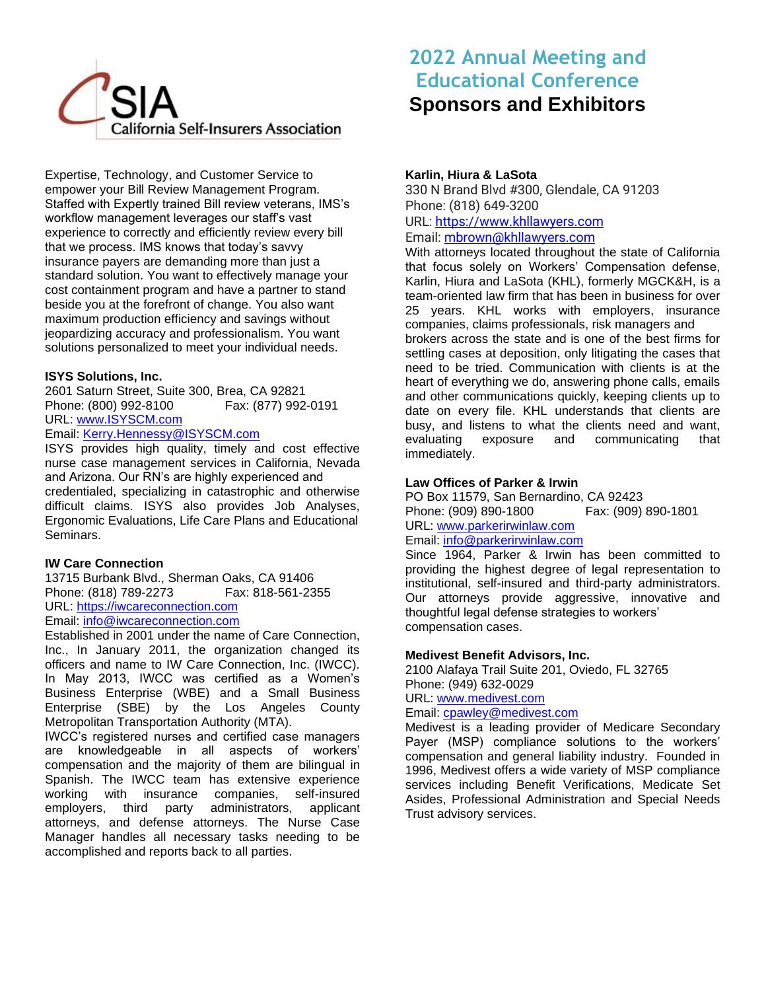

Expertise, Technology, and Customer Service to empower your Bill Review Management Program. Staffed with Expertly trained Bill review veterans, IMS's workflow management leverages our staff's vast experience to correctly and efficiently review every bill that we process. IMS knows that today's savvy insurance payers are demanding more than just a standard solution. You want to effectively manage your cost containment program and have a partner to stand beside you at the forefront of change. You also want maximum production efficiency and savings without jeopardizing accuracy and professionalism. You want solutions personalized to meet your individual needs.

### **ISYS Solutions, Inc.**

2601 Saturn Street, Suite 300, Brea, CA 92821 Phone: (800) 992-8100 Fax: (877) 992-0191 URL: [www.ISYSCM.com](http://www.isyscm.com/)

# Email: [Kerry.Hennessy@ISYSCM.com](mailto:Kerry.Hennessy@ISYSCM.com)

ISYS provides high quality, timely and cost effective nurse case management services in California, Nevada and Arizona. Our RN's are highly experienced and credentialed, specializing in catastrophic and otherwise difficult claims. ISYS also provides Job Analyses, Ergonomic Evaluations, Life Care Plans and Educational Seminars.

# **IW Care Connection**

13715 Burbank Blvd., Sherman Oaks, CA 91406 Phone: (818) 789-2273 Fax: 818-561-2355 URL: [https://iwcareconnection.com](https://iwcareconnection.com/) Email: [info@iwcareconnection.com](mailto:info@iwcareconnection.com)

Established in 2001 under the name of Care Connection, Inc., In January 2011, the organization changed its officers and name to IW Care Connection, Inc. (IWCC). In May 2013, IWCC was certified as a Women's Business Enterprise (WBE) and a Small Business Enterprise (SBE) by the Los Angeles County Metropolitan Transportation Authority (MTA).

IWCC's registered nurses and certified case managers are knowledgeable in all aspects of workers' compensation and the majority of them are bilingual in Spanish. The IWCC team has extensive experience working with insurance companies, self-insured employers, third party administrators, applicant attorneys, and defense attorneys. The Nurse Case Manager handles all necessary tasks needing to be accomplished and reports back to all parties.

# **2022 Annual Meeting and Educational Conference Sponsors and Exhibitors**

# **Karlin, Hiura & LaSota**

330 N Brand Blvd #300, Glendale, CA 91203 Phone: (818) 649-3200 URL: [https://www.khllawyers.com](https://www.khllawyers.com/) Email: [mbrown@khllawyers.com](mailto:mbrown@khllawyers.com)

With attorneys located throughout the state of California that focus solely on Workers' Compensation defense, Karlin, Hiura and LaSota (KHL), formerly MGCK&H, is a team-oriented law firm that has been in business for over 25 years. KHL works with employers, insurance companies, claims professionals, risk managers and brokers across the state and is one of the best firms for settling cases at deposition, only litigating the cases that need to be tried. Communication with clients is at the heart of everything we do, answering phone calls, emails and other communications quickly, keeping clients up to date on every file. KHL understands that clients are busy, and listens to what the clients need and want, evaluating exposure and communicating that immediately.

# **Law Offices of Parker & Irwin**

PO Box 11579, San Bernardino, CA 92423 Phone: (909) 890-1800 Fax: (909) 890-1801 URL: [www.parkerirwinlaw.com](http://www.parkerirwinlaw.com/) Email: [info@parkerirwinlaw.com](mailto:info@parkerirwinlaw.com)

Since 1964, Parker & Irwin has been committed to providing the highest degree of legal representation to institutional, self-insured and third-party administrators. Our attorneys provide aggressive, innovative and thoughtful legal defense strategies to workers' compensation cases.

### **Medivest Benefit Advisors, Inc.**

2100 Alafaya Trail Suite 201, Oviedo, FL 32765 Phone: (949) 632-0029 URL: [www.medivest.com](http://www.medivest.com/) Email: [cpawley@medivest.com](mailto:cpawley@medivest.com) Medivest is a leading provider of Medicare Secondary

Payer (MSP) compliance solutions to the workers' compensation and general liability industry. Founded in 1996, Medivest offers a wide variety of MSP compliance services including Benefit Verifications, Medicate Set Asides, Professional Administration and Special Needs Trust advisory services.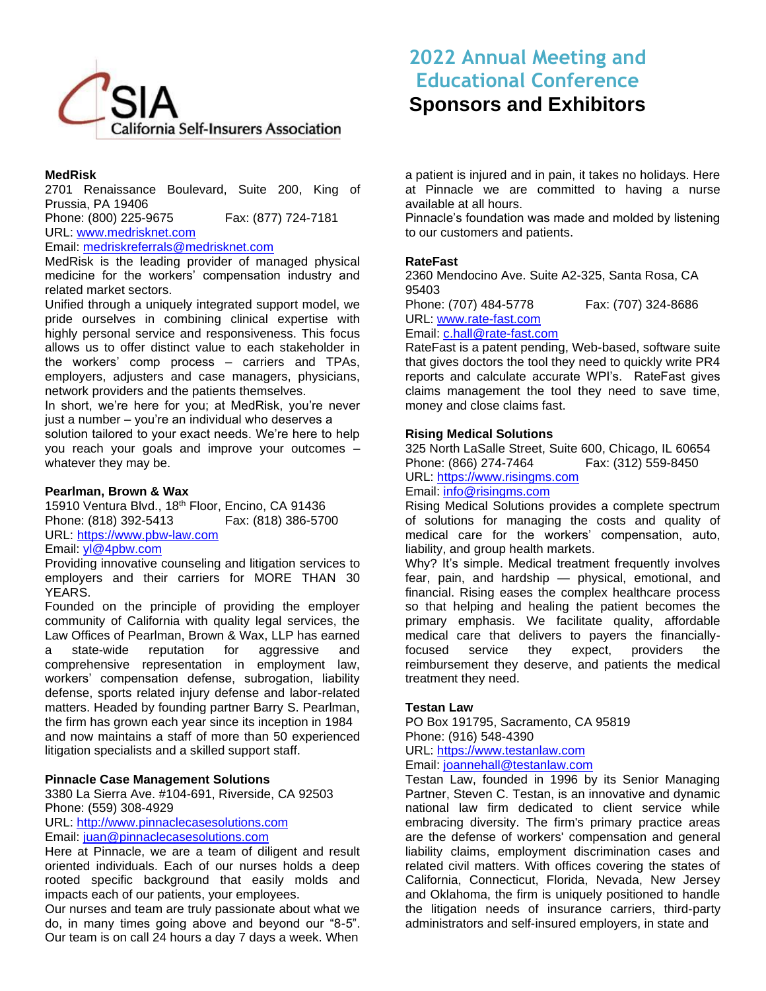

### **MedRisk**

2701 Renaissance Boulevard, Suite 200, King of Prussia, PA 19406

Phone: (800) 225-9675 Fax: (877) 724-7181

URL: [www.medrisknet.com](http://www.medrisknet.com/)

# Email: [medriskreferrals@medrisknet.com](mailto:medriskreferrals@medrisknet.com)

MedRisk is the leading provider of managed physical medicine for the workers' compensation industry and related market sectors.

Unified through a uniquely integrated support model, we pride ourselves in combining clinical expertise with highly personal service and responsiveness. This focus allows us to offer distinct value to each stakeholder in the workers' comp process – carriers and TPAs, employers, adjusters and case managers, physicians, network providers and the patients themselves.

In short, we're here for you; at MedRisk, you're never just a number – you're an individual who deserves a

solution tailored to your exact needs. We're here to help you reach your goals and improve your outcomes – whatever they may be.

#### **Pearlman, Brown & Wax**

15910 Ventura Blvd., 18<sup>th</sup> Floor, Encino, CA 91436 Phone: (818) 392-5413 Fax: (818) 386-5700 URL: [https://www.pbw-law.com](https://www.pbw-law.com/) 

### Email: [yl@4pbw.com](mailto:yl@4pbw.com)

Providing innovative counseling and litigation services to employers and their carriers for MORE THAN 30 YEARS.

Founded on the principle of providing the employer community of California with quality legal services, the Law Offices of Pearlman, Brown & Wax, LLP has earned a state-wide reputation for aggressive and comprehensive representation in employment law, workers' compensation defense, subrogation, liability defense, sports related injury defense and labor-related matters. Headed by founding partner Barry S. Pearlman, the firm has grown each year since its inception in 1984 and now maintains a staff of more than 50 experienced litigation specialists and a skilled support staff.

### **Pinnacle Case Management Solutions**

3380 La Sierra Ave. #104-691, Riverside, CA 92503 Phone: (559) 308-4929

URL: [http://www.pinnaclecasesolutions.com](http://www.pinnaclecasesolutions.com/)

Email: [juan@pinnaclecasesolutions.com](mailto:juan@pinnaclecasesolutions.com)

Here at Pinnacle, we are a team of diligent and result oriented individuals. Each of our nurses holds a deep rooted specific background that easily molds and impacts each of our patients, your employees.

Our nurses and team are truly passionate about what we do, in many times going above and beyond our "8-5". Our team is on call 24 hours a day 7 days a week. When

# **2022 Annual Meeting and Educational Conference Sponsors and Exhibitors**

a patient is injured and in pain, it takes no holidays. Here at Pinnacle we are committed to having a nurse available at all hours.

Pinnacle's foundation was made and molded by listening to our customers and patients.

### **RateFast**

2360 Mendocino Ave. Suite A2-325, Santa Rosa, CA 95403

Phone: (707) 484-5778 Fax: (707) 324-8686 URL: [www.rate-fast.com](http://www.rate-fast.com/) Email: [c.hall@rate-fast.com](mailto:c.hall@rate-fast.com)

RateFast is a patent pending, Web-based, software suite that gives doctors the tool they need to quickly write PR4 reports and calculate accurate WPI's. RateFast gives claims management the tool they need to save time, money and close claims fast.

### **Rising Medical Solutions**

325 North LaSalle Street, Suite 600, Chicago, IL 60654 Phone: (866) 274-7464 Fax: (312) 559-8450 URL: [https://www.risingms.com](https://www.risingms.com/) Email: [info@risingms.com](mailto:info@risingms.com)

Rising Medical Solutions provides a complete spectrum of solutions for managing the costs and quality of medical care for the workers' compensation, auto, liability, and group health markets.

Why? It's simple. Medical treatment frequently involves fear, pain, and hardship — physical, emotional, and financial. Rising eases the complex healthcare process so that helping and healing the patient becomes the primary emphasis. We facilitate quality, affordable medical care that delivers to payers the financiallyfocused service they expect, providers the reimbursement they deserve, and patients the medical treatment they need.

### **Testan Law**

PO Box 191795, Sacramento, CA 95819 Phone: (916) 548-4390

URL: [https://www.testanlaw.com](https://www.testanlaw.com/)

Email: [joannehall@testanlaw.com](mailto:joannehall@testanlaw.com)

Testan Law, founded in 1996 by its Senior Managing Partner, Steven C. Testan, is an innovative and dynamic national law firm dedicated to client service while embracing diversity. The firm's primary practice areas are the defense of workers' compensation and general liability claims, employment discrimination cases and related civil matters. With offices covering the states of California, Connecticut, Florida, Nevada, New Jersey and Oklahoma, the firm is uniquely positioned to handle the litigation needs of insurance carriers, third-party administrators and self-insured employers, in state and